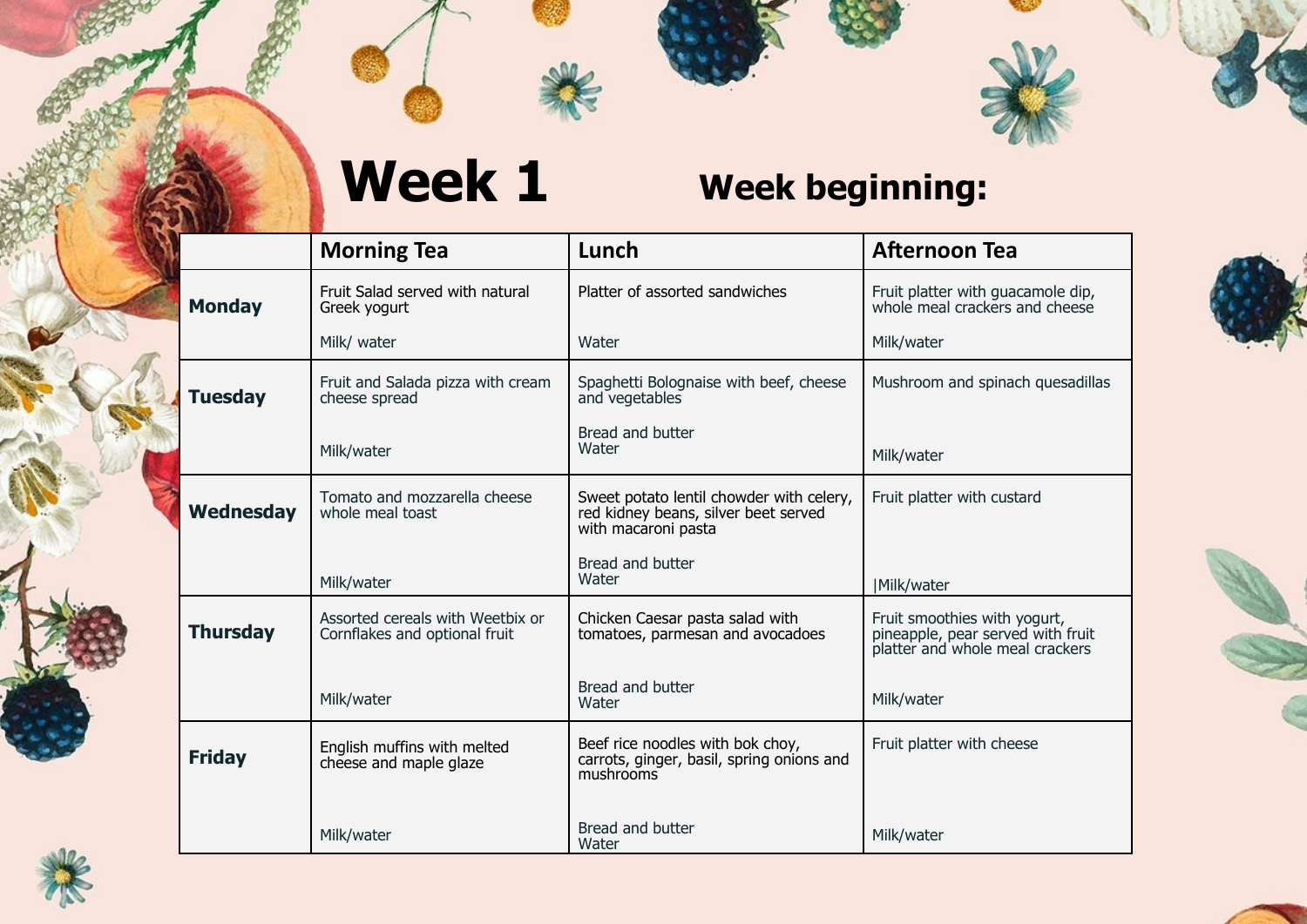

# **Week 1 Week beginning:**

|                  | <b>Morning Tea</b>                                                | Lunch                                                                                                   | <b>Afternoon Tea</b>                                                                                 |
|------------------|-------------------------------------------------------------------|---------------------------------------------------------------------------------------------------------|------------------------------------------------------------------------------------------------------|
| <b>Monday</b>    | Fruit Salad served with natural<br>Greek yogurt                   | Platter of assorted sandwiches                                                                          | Fruit platter with guacamole dip,<br>whole meal crackers and cheese                                  |
|                  | Milk/ water                                                       | Water                                                                                                   | Milk/water                                                                                           |
| <b>Tuesday</b>   | Fruit and Salada pizza with cream<br>cheese spread                | Spaghetti Bolognaise with beef, cheese<br>and vegetables                                                | Mushroom and spinach quesadillas                                                                     |
|                  | Milk/water                                                        | Bread and butter<br>Water                                                                               | Milk/water                                                                                           |
| <b>Wednesday</b> | Tomato and mozzarella cheese<br>whole meal toast                  | Sweet potato lentil chowder with celery,<br>red kidney beans, silver beet served<br>with macaroni pasta | Fruit platter with custard                                                                           |
|                  | Milk/water                                                        | Bread and butter<br>Water                                                                               | Milk/water                                                                                           |
| <b>Thursday</b>  | Assorted cereals with Weetbix or<br>Cornflakes and optional fruit | Chicken Caesar pasta salad with<br>tomatoes, parmesan and avocadoes                                     | Fruit smoothies with yogurt,<br>pineapple, pear served with fruit<br>platter and whole meal crackers |
|                  | Milk/water                                                        | Bread and butter<br>Water                                                                               | Milk/water                                                                                           |
| <b>Friday</b>    | English muffins with melted<br>cheese and maple glaze             | Beef rice noodles with bok choy,<br>carrots, ginger, basil, spring onions and<br>mushrooms              | Fruit platter with cheese                                                                            |
|                  | Milk/water                                                        | Bread and butter<br>Water                                                                               | Milk/water                                                                                           |





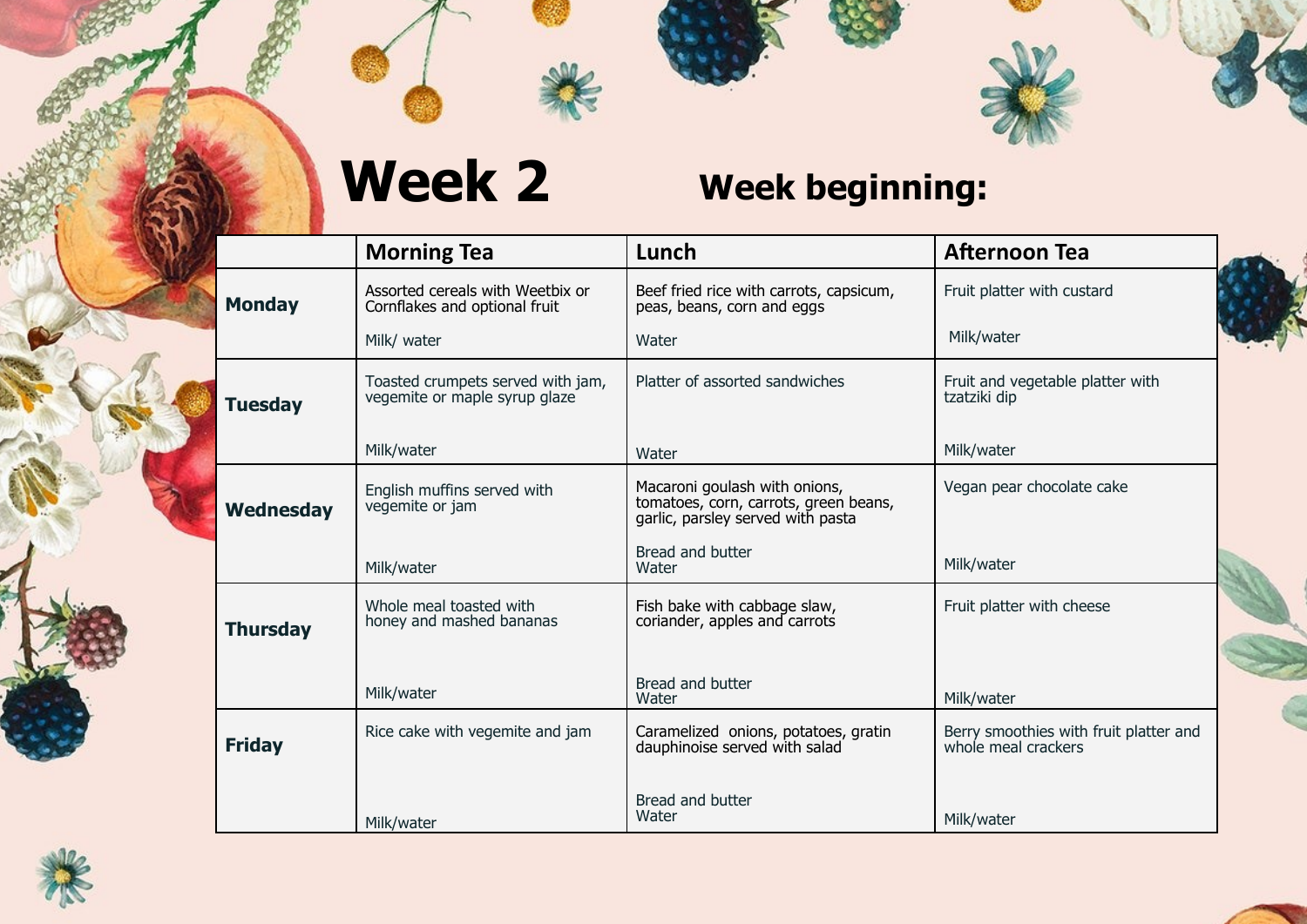





### **Week 2 Week beginning:**

|                 | <b>Morning Tea</b>                                                 | Lunch                                                                                                       | <b>Afternoon Tea</b>                                          |  |
|-----------------|--------------------------------------------------------------------|-------------------------------------------------------------------------------------------------------------|---------------------------------------------------------------|--|
| <b>Monday</b>   | Assorted cereals with Weetbix or<br>Cornflakes and optional fruit  | Beef fried rice with carrots, capsicum,<br>peas, beans, corn and eggs                                       | Fruit platter with custard                                    |  |
|                 | Milk/ water                                                        | Water                                                                                                       | Milk/water                                                    |  |
| <b>Tuesday</b>  | Toasted crumpets served with jam,<br>vegemite or maple syrup glaze | Platter of assorted sandwiches                                                                              | Fruit and vegetable platter with<br>tzatziki dip              |  |
|                 | Milk/water                                                         | Water                                                                                                       | Milk/water                                                    |  |
| Wednesday       | English muffins served with<br>vegemite or jam                     | Macaroni goulash with onions,<br>tomatoes, corn, carrots, green beans,<br>garlic, parsley served with pasta | Vegan pear chocolate cake                                     |  |
|                 | Milk/water                                                         | Bread and butter<br>Water                                                                                   | Milk/water                                                    |  |
| <b>Thursday</b> | Whole meal toasted with<br>honey and mashed bananas                | Fish bake with cabbage slaw,<br>coriander, apples and carrots                                               | Fruit platter with cheese                                     |  |
|                 | Milk/water                                                         | Bread and butter<br>Water                                                                                   | Milk/water                                                    |  |
| <b>Friday</b>   | Rice cake with vegemite and jam                                    | Caramelized onions, potatoes, gratin<br>dauphinoise served with salad                                       | Berry smoothies with fruit platter and<br>whole meal crackers |  |
|                 | Milk/water                                                         | Bread and butter<br>Water                                                                                   | Milk/water                                                    |  |



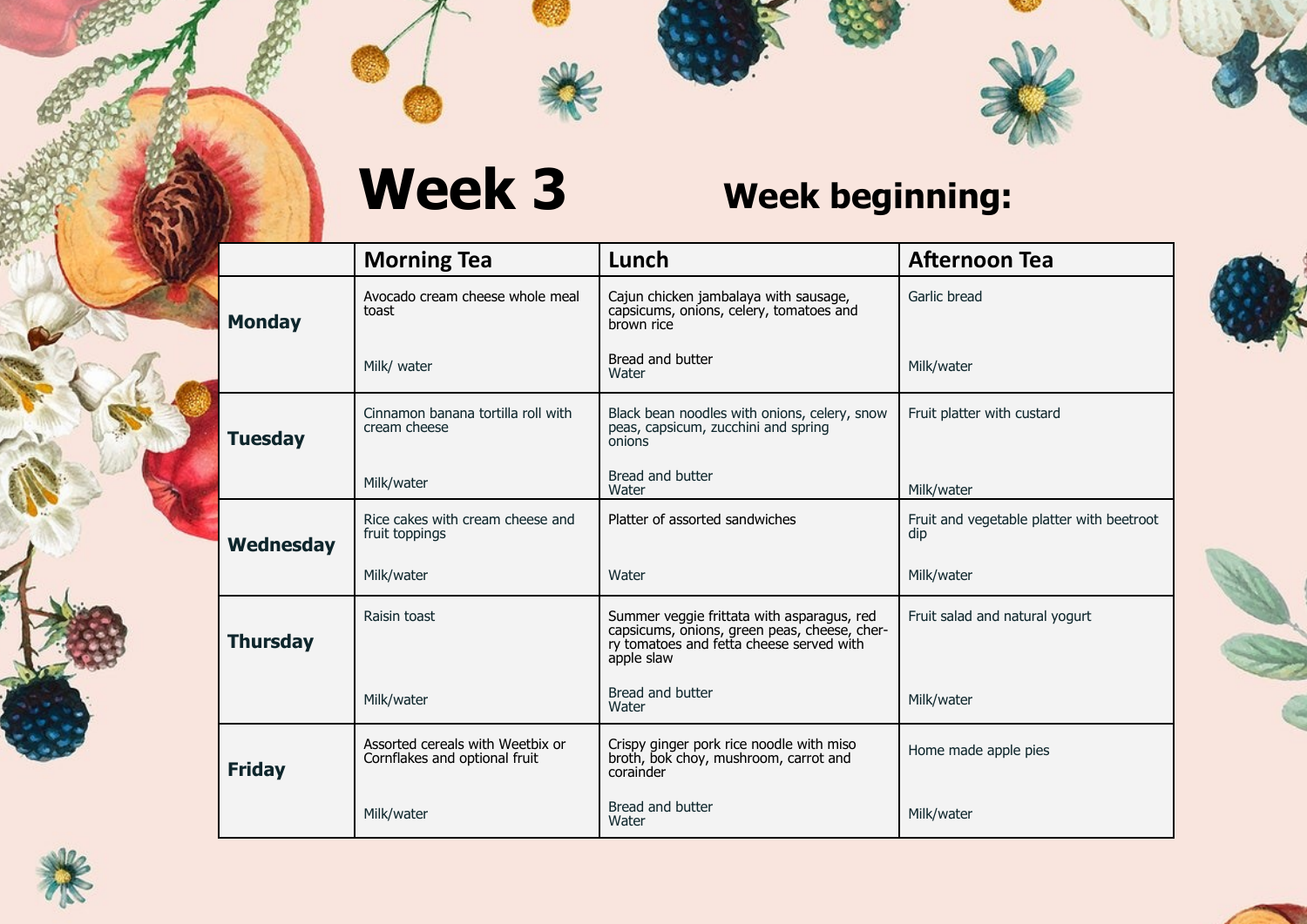

|                 | <b>Morning Tea</b>                                                | Lunch                                                                                                                                                | <b>Afternoon Tea</b>                             |
|-----------------|-------------------------------------------------------------------|------------------------------------------------------------------------------------------------------------------------------------------------------|--------------------------------------------------|
| <b>Monday</b>   | Avocado cream cheese whole meal<br>toast                          | Cajun chicken jambalaya with sausage,<br>capsicums, onions, celery, tomatoes and<br>brown rice                                                       | Garlic bread                                     |
|                 | Milk/ water                                                       | Bread and butter<br>Water                                                                                                                            | Milk/water                                       |
| <b>Tuesday</b>  | Cinnamon banana tortilla roll with<br>cream cheese                | Black bean noodles with onions, celery, snow<br>peas, capsicum, zucchini and spring<br>onions                                                        | Fruit platter with custard                       |
|                 | Milk/water                                                        | Bread and butter<br>Water                                                                                                                            | Milk/water                                       |
| Wednesday       | Rice cakes with cream cheese and<br>fruit toppings                | Platter of assorted sandwiches                                                                                                                       | Fruit and vegetable platter with beetroot<br>dip |
|                 | Milk/water                                                        | Water                                                                                                                                                | Milk/water                                       |
| <b>Thursday</b> | Raisin toast                                                      | Summer veggie frittata with asparagus, red<br>capsicums, onions, green peas, cheese, cher-<br>ry tomatoes and fetta cheese served with<br>apple slaw | Fruit salad and natural yogurt                   |
|                 | Milk/water                                                        | Bread and butter<br>Water                                                                                                                            | Milk/water                                       |
| <b>Friday</b>   | Assorted cereals with Weetbix or<br>Cornflakes and optional fruit | Crispy ginger pork rice noodle with miso<br>broth, bok choy, mushroom, carrot and<br>corainder                                                       | Home made apple pies                             |
|                 | Milk/water                                                        | Bread and butter<br>Water                                                                                                                            | Milk/water                                       |





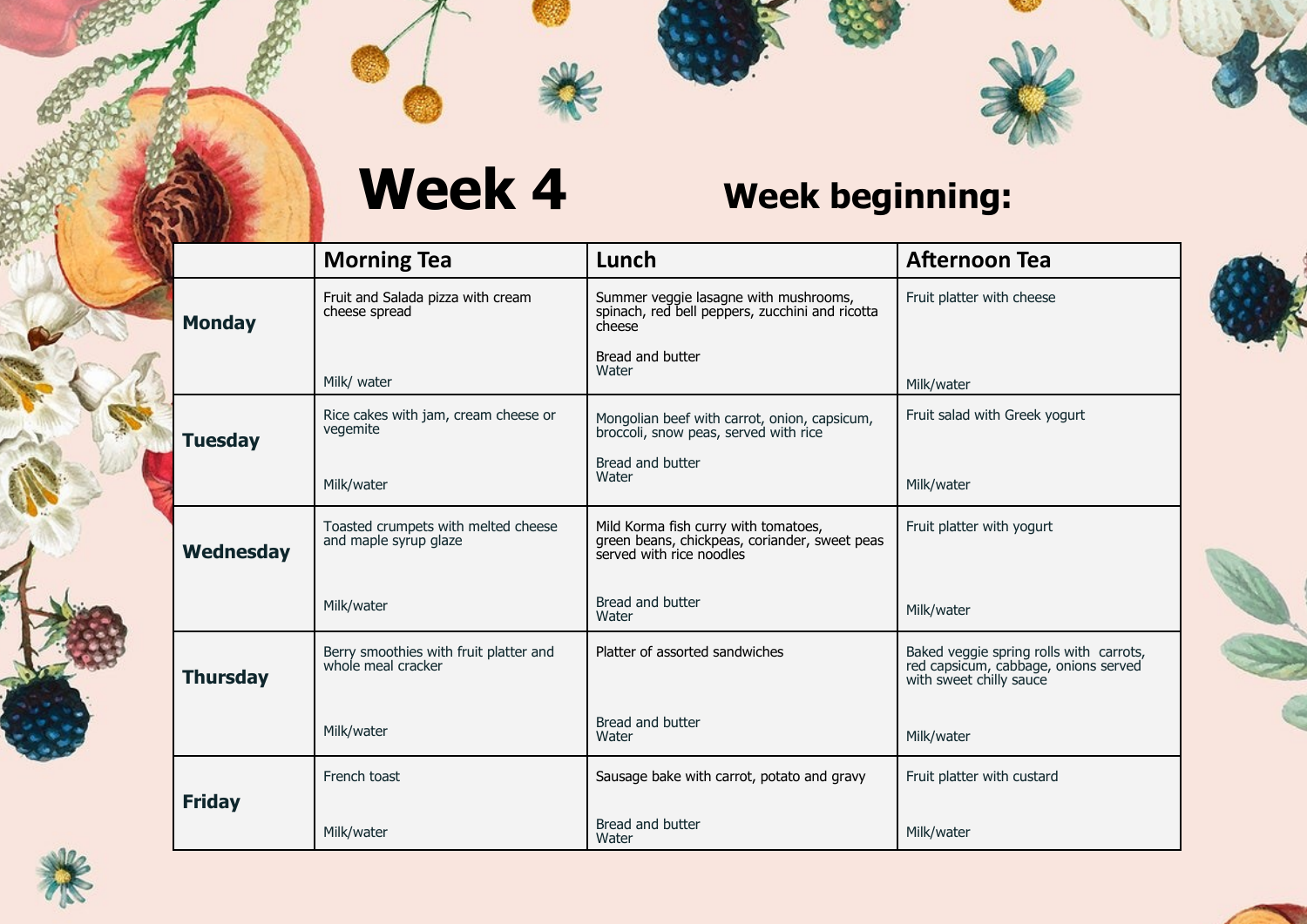

|                 | <b>Morning Tea</b>                                           | Lunch                                                                                                             | <b>Afternoon Tea</b>                                                                                       |
|-----------------|--------------------------------------------------------------|-------------------------------------------------------------------------------------------------------------------|------------------------------------------------------------------------------------------------------------|
| <b>Monday</b>   | Fruit and Salada pizza with cream<br>cheese spread           | Summer veggie lasagne with mushrooms,<br>spinach, red bell peppers, zucchini and ricotta<br>cheese                | Fruit platter with cheese                                                                                  |
|                 | Milk/ water                                                  | Bread and butter<br>Water                                                                                         | Milk/water                                                                                                 |
| <b>Tuesday</b>  | Rice cakes with jam, cream cheese or<br>vegemite             | Mongolian beef with carrot, onion, capsicum,<br>broccoli, snow peas, served with rice                             | Fruit salad with Greek yogurt                                                                              |
|                 | Milk/water                                                   | Bread and butter<br>Water                                                                                         | Milk/water                                                                                                 |
| Wednesday       | Toasted crumpets with melted cheese<br>and maple syrup glaze | Mild Korma fish curry with tomatoes,<br>green beans, chickpeas, coriander, sweet peas<br>served with rice noodles | Fruit platter with yogurt                                                                                  |
|                 | Milk/water                                                   | Bread and butter<br>Water                                                                                         | Milk/water                                                                                                 |
| <b>Thursday</b> | Berry smoothies with fruit platter and<br>whole meal cracker | Platter of assorted sandwiches                                                                                    | Baked veggie spring rolls with carrots,<br>red capsicum, cabbage, onions served<br>with sweet chilly sauce |
|                 | Milk/water                                                   | Bread and butter<br>Water                                                                                         | Milk/water                                                                                                 |
|                 | French toast                                                 | Sausage bake with carrot, potato and gravy                                                                        | Fruit platter with custard                                                                                 |
| <b>Friday</b>   | Milk/water                                                   | Bread and butter<br>Water                                                                                         | Milk/water                                                                                                 |







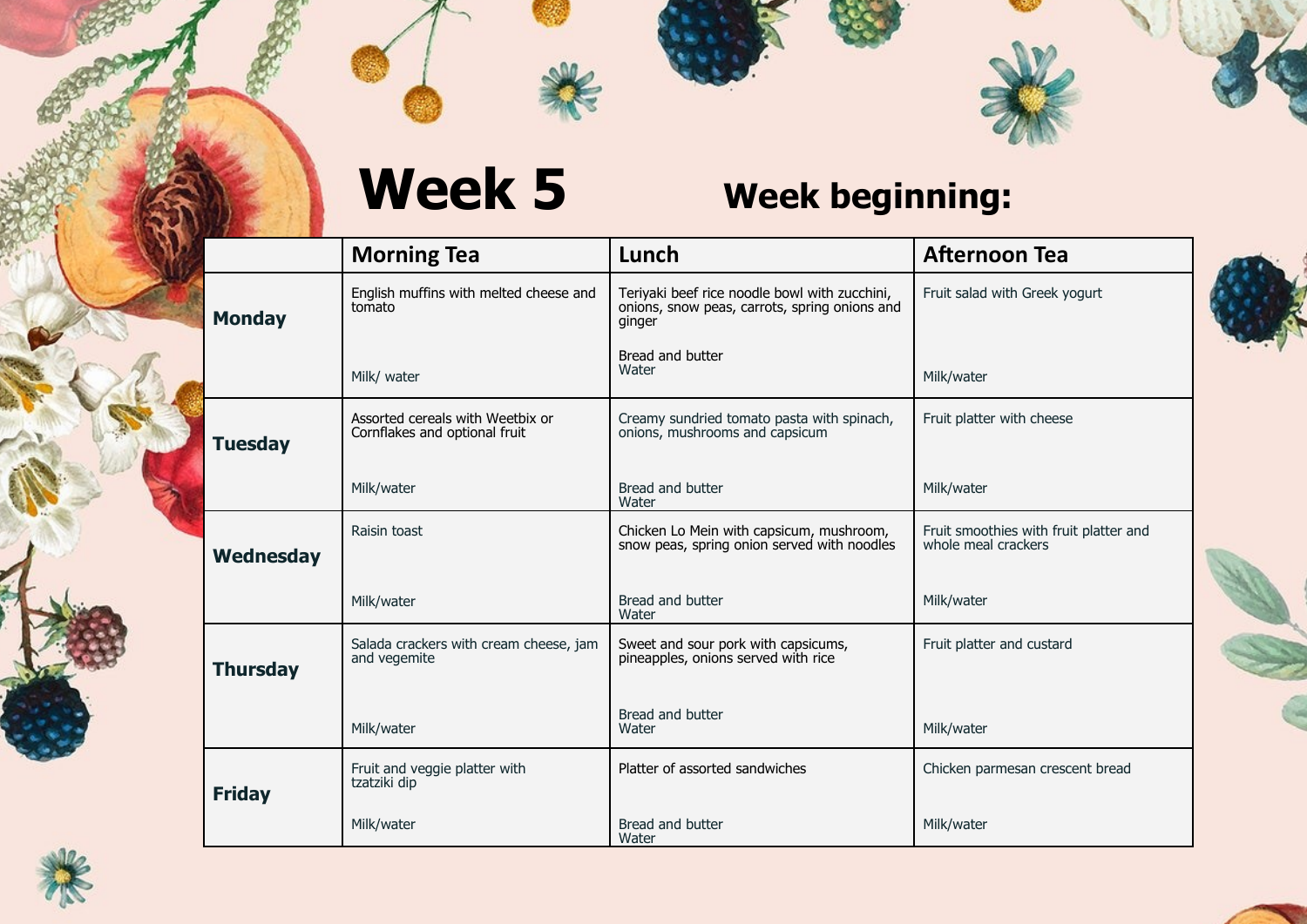

|                  | <b>Morning Tea</b>                                                | Lunch                                                                                                    | <b>Afternoon Tea</b>                                          |
|------------------|-------------------------------------------------------------------|----------------------------------------------------------------------------------------------------------|---------------------------------------------------------------|
| <b>Monday</b>    | English muffins with melted cheese and<br>tomato                  | Teriyaki beef rice noodle bowl with zucchini,<br>onions, snow peas, carrots, spring onions and<br>ginger | Fruit salad with Greek yogurt                                 |
|                  | Milk/ water                                                       | Bread and butter<br>Water                                                                                | Milk/water                                                    |
| <b>Tuesday</b>   | Assorted cereals with Weetbix or<br>Cornflakes and optional fruit | Creamy sundried tomato pasta with spinach,<br>onions, mushrooms and capsicum                             | Fruit platter with cheese                                     |
|                  | Milk/water                                                        | Bread and butter<br>Water                                                                                | Milk/water                                                    |
| <b>Wednesday</b> | Raisin toast                                                      | Chicken Lo Mein with capsicum, mushroom,<br>snow peas, spring onion served with noodles                  | Fruit smoothies with fruit platter and<br>whole meal crackers |
|                  | Milk/water                                                        | Bread and butter<br>Water                                                                                | Milk/water                                                    |
| <b>Thursday</b>  | Salada crackers with cream cheese, jam<br>and vegemite            | Sweet and sour pork with capsicums,<br>pineapples, onions served with rice                               | Fruit platter and custard                                     |
|                  | Milk/water                                                        | Bread and butter<br>Water                                                                                | Milk/water                                                    |
| <b>Friday</b>    | Fruit and veggie platter with<br>tzatziki dip                     | Platter of assorted sandwiches                                                                           | Chicken parmesan crescent bread                               |
|                  | Milk/water                                                        | Bread and butter<br>Water                                                                                | Milk/water                                                    |